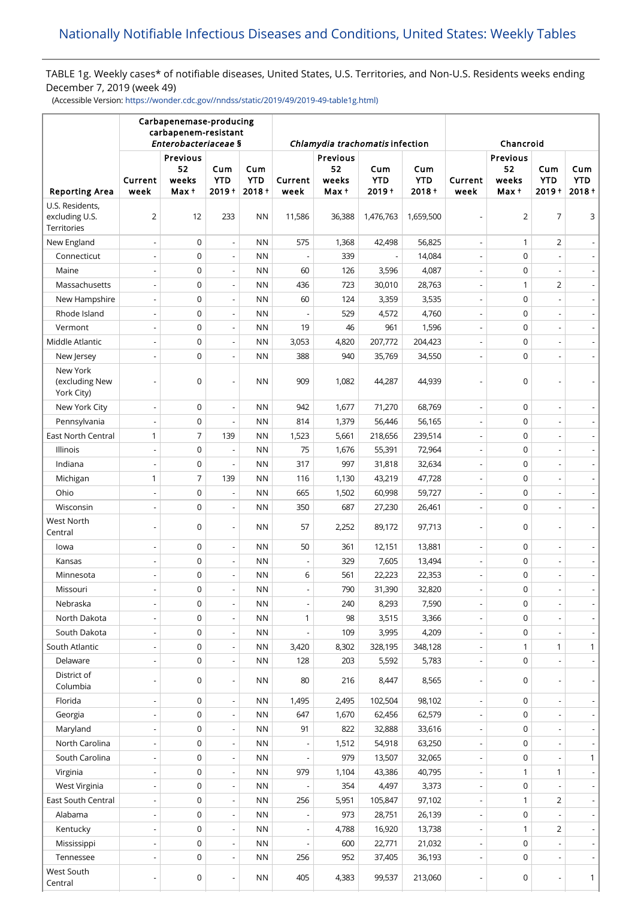# TABLE 1g. Weekly cases\* of notifiable diseases, United States, U.S. Territories, and Non-U.S. Residents weeks ending December 7, 2019 (week 49)

(Accessible Version: [https://wonder.cdc.gov//nndss/static/2019/49/2019-49-table1g.html\)](https://wonder.cdc.gov//nndss/static/2019/49/2019-49-table1g.html)

|                                                         | Carbapenemase-producing<br>carbapenem-resistant<br>Enterobacteriaceae § |                                  |                                                      |                               |                                 |                                  |                               |                               |                          |                                  |                                  |                               |
|---------------------------------------------------------|-------------------------------------------------------------------------|----------------------------------|------------------------------------------------------|-------------------------------|---------------------------------|----------------------------------|-------------------------------|-------------------------------|--------------------------|----------------------------------|----------------------------------|-------------------------------|
|                                                         |                                                                         |                                  |                                                      |                               | Chlamydia trachomatis infection |                                  |                               |                               | Chancroid                |                                  |                                  |                               |
| <b>Reporting Area</b>                                   | Current<br>week                                                         | Previous<br>52<br>weeks<br>Max † | Cum<br><b>YTD</b><br>$2019 +$                        | Cum<br><b>YTD</b><br>$2018 +$ | Current<br>week                 | Previous<br>52<br>weeks<br>Max † | Cum<br><b>YTD</b><br>$2019 +$ | Cum<br><b>YTD</b><br>$2018 +$ | Current<br>week          | Previous<br>52<br>weeks<br>Max + | Cum<br><b>YTD</b><br>$2019 +$    | Cum<br><b>YTD</b><br>$2018 +$ |
| U.S. Residents,<br>excluding U.S.<br><b>Territories</b> | $\overline{2}$                                                          | 12                               | 233                                                  | <b>NN</b>                     | 11,586                          | 36,388                           | 1,476,763                     | 1,659,500                     |                          | $\overline{2}$                   | 7                                | 3                             |
| New England                                             |                                                                         | $\mathbf 0$                      | $\overline{\phantom{a}}$                             | <b>NN</b>                     | 575                             | 1,368                            | 42,498                        | 56,825                        |                          | 1                                | 2                                |                               |
| Connecticut                                             |                                                                         | $\mathbf 0$                      | $\overline{\phantom{a}}$                             | <b>NN</b>                     |                                 | 339                              |                               | 14,084                        |                          | $\mathsf 0$                      | $\overline{a}$                   |                               |
| Maine                                                   |                                                                         | $\mathbf 0$                      | $\overline{\phantom{a}}$                             | <b>NN</b>                     | 60                              | 126                              | 3,596                         | 4,087                         | $\overline{\phantom{a}}$ | 0                                | $\overline{\phantom{a}}$         | $\blacksquare$                |
| Massachusetts                                           |                                                                         | $\mathbf 0$                      | $\overline{\phantom{a}}$                             | <b>NN</b>                     | 436                             | 723                              | 30,010                        | 28,763                        |                          | 1                                | $\overline{2}$                   | $\overline{\phantom{a}}$      |
| New Hampshire                                           |                                                                         | $\mathbf 0$                      |                                                      | <b>NN</b>                     | 60                              | 124                              | 3,359                         | 3,535                         |                          | 0                                |                                  |                               |
| Rhode Island                                            |                                                                         | $\mathbf 0$                      | $\overline{\phantom{a}}$                             | <b>NN</b>                     |                                 | 529                              | 4,572                         | 4,760                         |                          | 0                                | $\overline{a}$                   | $\overline{\phantom{a}}$      |
| Vermont                                                 |                                                                         | $\mathbf 0$                      |                                                      | <b>NN</b>                     | 19                              | 46                               | 961                           | 1,596                         |                          | 0                                | $\overline{a}$                   |                               |
| Middle Atlantic                                         |                                                                         | $\mathbf 0$                      | $\overline{\phantom{a}}$                             | <b>NN</b>                     | 3,053                           | 4,820                            | 207,772                       | 204,423                       |                          | 0                                | $\overline{\phantom{m}}$         | $\overline{\phantom{a}}$      |
| New Jersey                                              |                                                                         | $\overline{0}$                   |                                                      | <b>NN</b>                     | 388                             | 940                              | 35,769                        | 34,550                        |                          | 0                                |                                  |                               |
| New York<br>(excluding New<br>York City)                |                                                                         | 0                                |                                                      | <b>NN</b>                     | 909                             | 1,082                            | 44,287                        | 44,939                        |                          | $\mathbf 0$                      | $\overline{a}$                   |                               |
| New York City                                           |                                                                         | 0                                | $\overline{a}$                                       | <b>NN</b>                     | 942                             | 1,677                            | 71,270                        | 68,769                        | $\overline{a}$           | 0                                | $\overline{\phantom{m}}$         |                               |
| Pennsylvania                                            |                                                                         | $\mathbf 0$                      |                                                      | <b>NN</b>                     | 814                             | 1,379                            | 56,446                        | 56,165                        |                          | 0                                | $\overline{\phantom{m}}$         | $\blacksquare$                |
| East North Central                                      | $\mathbf{1}$                                                            | 7                                | 139                                                  | <b>NN</b>                     | 1,523                           | 5,661                            | 218,656                       | 239,514                       |                          | 0                                | $\overline{a}$                   | $\overline{\phantom{a}}$      |
| Illinois                                                | $\overline{a}$                                                          | $\mathbf 0$                      | $\overline{\phantom{a}}$                             | <b>NN</b>                     | 75                              | 1,676                            | 55,391                        | 72,964                        | $\overline{\phantom{a}}$ | 0                                | $\overline{\phantom{a}}$         | $\overline{\phantom{0}}$      |
| Indiana                                                 |                                                                         | 0                                | $\overline{\phantom{a}}$                             | <b>NN</b>                     | 317                             | 997                              | 31,818                        | 32,634                        | $\overline{a}$           | 0                                | $\overline{a}$                   | $\blacksquare$                |
| Michigan                                                | $\mathbf{1}$                                                            | $\overline{7}$                   | 139                                                  | <b>NN</b>                     | 116                             | 1,130                            | 43,219                        | 47,728                        |                          | 0                                | $\overline{a}$                   |                               |
| Ohio                                                    |                                                                         | $\mathbf 0$                      | $\overline{\phantom{a}}$                             | <b>NN</b>                     | 665                             | 1,502                            | 60,998                        | 59,727                        |                          | 0                                | $\overline{a}$                   | $\blacksquare$                |
| Wisconsin                                               |                                                                         | $\mathbf 0$                      |                                                      | <b>NN</b>                     | 350                             | 687                              | 27,230                        | 26,461                        |                          | 0                                | $\overline{a}$                   | $\overline{\phantom{0}}$      |
| West North<br>Central                                   |                                                                         | 0                                |                                                      | <b>NN</b>                     | 57                              | 2,252                            | 89,172                        | 97,713                        |                          | 0                                | $\overline{a}$                   | $\overline{\phantom{0}}$      |
| lowa                                                    |                                                                         | $\mathbf 0$                      | $\overline{\phantom{a}}$                             | <b>NN</b>                     | 50                              | 361                              | 12,151                        | 13,881                        |                          | 0                                | $\overline{\phantom{m}}$         | $\overline{\phantom{a}}$      |
| Kansas                                                  |                                                                         | 0                                | $\overline{a}$                                       | <b>NN</b>                     |                                 | 329                              | 7,605                         | 13,494                        | $\overline{a}$           | 0                                | $\overline{\phantom{0}}$         | $\overline{\phantom{a}}$      |
| Minnesota                                               |                                                                         | 0                                |                                                      | <b>NN</b>                     | 6                               | 561                              | 22,223                        | 22,353                        |                          | 0                                | -                                | $\overline{\phantom{a}}$      |
| Missouri                                                |                                                                         | 0                                |                                                      | <b>NN</b>                     |                                 | 790                              | 31,390                        | 32,820                        |                          | $\mathbf 0$                      | $\overline{a}$                   |                               |
| Nebraska                                                | $\overline{\phantom{0}}$                                                | 0                                | $\overline{\phantom{a}}$                             | <b>NN</b>                     | $\overline{\phantom{a}}$        | 240                              | 8,293                         | 7,590                         |                          | 0                                | $\qquad \qquad -$                | ۰                             |
| North Dakota                                            |                                                                         | 0                                |                                                      | <b>NN</b>                     | 1                               | 98                               | 3,515                         | 3,366                         |                          | 0                                | $\overline{\phantom{0}}$         | $\overline{\phantom{a}}$      |
| South Dakota                                            |                                                                         | $\mathbf 0$                      |                                                      | <b>NN</b>                     |                                 | 109                              | 3,995                         | 4,209                         |                          | 0                                |                                  |                               |
| South Atlantic                                          |                                                                         | 0                                | $\overline{\phantom{a}}$                             | <b>NN</b>                     | 3,420                           | 8,302                            | 328,195                       | 348,128                       |                          | 1                                | $\mathbf{1}$                     | $\mathbf{1}$                  |
| Delaware                                                |                                                                         | 0                                |                                                      | <b>NN</b>                     | 128                             | 203                              | 5,592                         | 5,783                         |                          | 0                                |                                  | $\blacksquare$                |
| District of<br>Columbia                                 |                                                                         | 0                                |                                                      | ΝN                            | 80                              | 216                              | 8,447                         | 8,565                         |                          | 0                                | $\overline{a}$                   | $\overline{\phantom{a}}$      |
| Florida                                                 |                                                                         | 0                                | $\overline{\phantom{a}}$                             | <b>NN</b>                     | 1,495                           | 2,495                            | 102,504                       | 98,102                        | $\overline{\phantom{a}}$ | 0                                | $\overline{\phantom{m}}$         | $\overline{\phantom{a}}$      |
| Georgia                                                 |                                                                         | $\mathbf 0$                      |                                                      | <b>NN</b>                     | 647                             | 1,670                            | 62,456                        | 62,579                        |                          | 0                                |                                  |                               |
| Maryland                                                |                                                                         | $\mathbf 0$                      | $\overline{\phantom{a}}$                             | <b>NN</b>                     | 91                              | 822                              | 32,888                        | 33,616                        |                          | 0                                | $\overline{\phantom{m}}$         | $\blacksquare$                |
| North Carolina                                          |                                                                         | 0                                |                                                      | <b>NN</b>                     |                                 | 1,512                            | 54,918                        | 63,250                        |                          | 0                                | $\overline{\phantom{m}}$         | $\overline{\phantom{a}}$      |
| South Carolina                                          |                                                                         | 0                                | $\overline{\phantom{a}}$                             | <b>NN</b>                     |                                 | 979                              | 13,507                        | 32,065                        | $\overline{\phantom{a}}$ | 0                                | $\overline{\phantom{m}}$         | $\mathbf{1}$                  |
| Virginia                                                |                                                                         | 0                                | $\overline{\phantom{a}}$                             | <b>NN</b>                     | 979                             | 1,104                            | 43,386                        | 40,795                        |                          | 1                                | 1                                | $\overline{\phantom{a}}$      |
| West Virginia                                           |                                                                         | $\mathbf 0$                      |                                                      | <b>NN</b>                     |                                 | 354                              | 4,497                         | 3,373                         |                          | 0                                |                                  | ۰.                            |
| East South Central                                      |                                                                         | 0                                | $\overline{\phantom{a}}$                             | <b>NN</b>                     | 256                             | 5,951                            | 105,847                       | 97,102                        |                          | 1                                | $\overline{2}$                   | $\blacksquare$                |
| Alabama                                                 |                                                                         | $\mathbf 0$                      |                                                      | <b>NN</b>                     |                                 | 973                              | 28,751                        | 26,139                        |                          | 0                                |                                  | $\blacksquare$                |
| Kentucky                                                |                                                                         | $\mathbf 0$                      | $\overline{\phantom{a}}$                             | <b>NN</b>                     |                                 | 4,788                            | 16,920                        | 13,738                        | $\overline{\phantom{a}}$ | 1                                | 2                                | $\overline{\phantom{a}}$      |
| Mississippi                                             |                                                                         | $\mathbf 0$                      |                                                      | <b>NN</b>                     |                                 | 600                              | 22,771                        | 21,032                        |                          | 0                                |                                  |                               |
| Tennessee<br>West South<br>Central                      |                                                                         | $\mathbf 0$<br>0                 | $\overline{\phantom{a}}$<br>$\overline{\phantom{a}}$ | <b>NN</b><br><b>NN</b>        | 256<br>405                      | 952<br>4,383                     | 37,405<br>99,537              | 36,193<br>213,060             |                          | $\mathbf 0$<br>0                 | $\overline{a}$<br>$\overline{a}$ | $\overline{\phantom{a}}$<br>1 |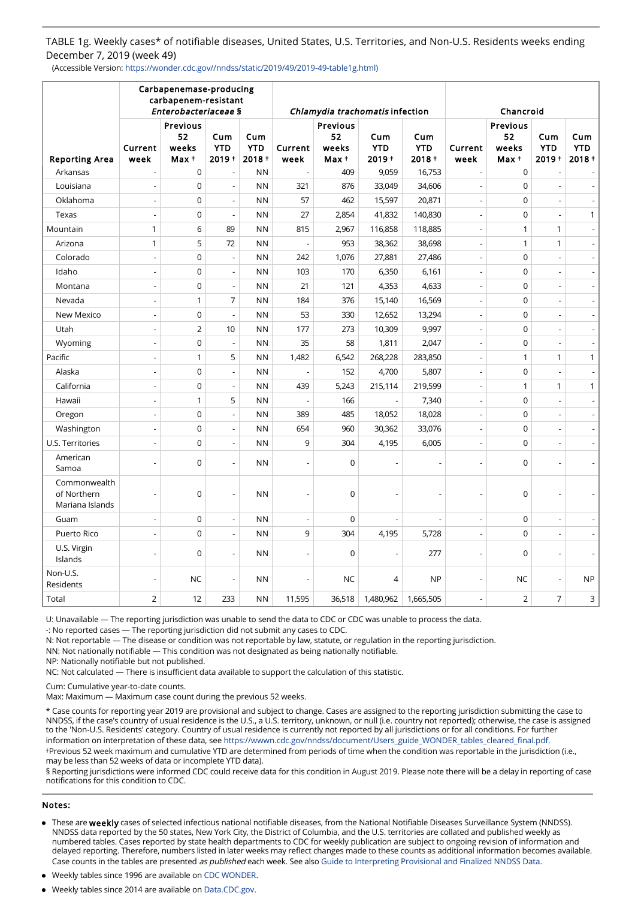TABLE 1g. Weekly cases\* of notifiable diseases, United States, U.S. Territories, and Non-U.S. Residents weeks ending December 7, 2019 (week 49)

(Accessible Version: https://wonder.cdc.gov//nndss/static/2019/49/2019-49-table1g.html)

|                                                |                          | Carbapenemase-producing<br>carbapenem-resistant<br>Enterobacteriaceae § |                               |                               |                          | Chlamydia trachomatis infection  |                            | Chancroid                     |                          |                                  |                               |                               |
|------------------------------------------------|--------------------------|-------------------------------------------------------------------------|-------------------------------|-------------------------------|--------------------------|----------------------------------|----------------------------|-------------------------------|--------------------------|----------------------------------|-------------------------------|-------------------------------|
| <b>Reporting Area</b>                          | Current<br>week          | Previous<br>52<br>weeks<br>Max +                                        | Cum<br><b>YTD</b><br>$2019 +$ | Cum<br><b>YTD</b><br>$2018 +$ | Current<br>week          | Previous<br>52<br>weeks<br>Max + | Cum<br><b>YTD</b><br>2019+ | Cum<br><b>YTD</b><br>$2018 +$ | Current<br>week          | Previous<br>52<br>weeks<br>Max + | Cum<br><b>YTD</b><br>$2019 +$ | Cum<br><b>YTD</b><br>$2018 +$ |
| Arkansas                                       |                          | $\mathbf 0$                                                             |                               | <b>NN</b>                     | $\overline{a}$           | 409                              | 9,059                      | 16,753                        |                          | $\mathbf 0$                      |                               |                               |
| Louisiana                                      | $\overline{\phantom{m}}$ | $\overline{0}$                                                          |                               | <b>NN</b>                     | 321                      | 876                              | 33,049                     | 34,606                        | ÷,                       | $\mathbf 0$                      | $\overline{\phantom{a}}$      |                               |
| Oklahoma                                       | $\overline{a}$           | $\overline{0}$                                                          | $\overline{\phantom{a}}$      | <b>NN</b>                     | 57                       | 462                              | 15,597                     | 20,871                        | $\overline{a}$           | $\mathbf 0$                      | $\overline{\phantom{a}}$      |                               |
| Texas                                          | $\overline{a}$           | $\mathbf 0$                                                             | $\overline{a}$                | <b>NN</b>                     | 27                       | 2,854                            | 41,832                     | 140,830                       | ÷,                       | $\mathbf 0$                      | $\overline{a}$                | 1                             |
| Mountain                                       | $\mathbf{1}$             | 6                                                                       | 89                            | <b>NN</b>                     | 815                      | 2,967                            | 116,858                    | 118,885                       | ÷,                       | 1                                | $\mathbf{1}$                  |                               |
| Arizona                                        | $\mathbf{1}$             | 5                                                                       | 72                            | <b>NN</b>                     | $\overline{\phantom{a}}$ | 953                              | 38,362                     | 38,698                        | $\overline{\phantom{a}}$ | 1                                | $\mathbf{1}$                  |                               |
| Colorado                                       | $\overline{a}$           | $\mathbf 0$                                                             | $\overline{\phantom{a}}$      | <b>NN</b>                     | 242                      | 1,076                            | 27,881                     | 27,486                        | $\overline{\phantom{a}}$ | $\mathbf 0$                      | $\overline{a}$                |                               |
| Idaho                                          | $\overline{\phantom{m}}$ | $\mathbf 0$                                                             | $\overline{\phantom{a}}$      | <b>NN</b>                     | 103                      | 170                              | 6,350                      | 6,161                         | $\overline{\phantom{a}}$ | $\mathbf 0$                      | $\overline{\phantom{a}}$      |                               |
| Montana                                        | $\overline{a}$           | 0                                                                       | $\overline{a}$                | <b>NN</b>                     | 21                       | 121                              | 4,353                      | 4,633                         | $\overline{\phantom{a}}$ | $\mathbf 0$                      | $\overline{\phantom{a}}$      |                               |
| Nevada                                         | $\overline{a}$           | $\mathbf{1}$                                                            | $\overline{7}$                | <b>NN</b>                     | 184                      | 376                              | 15,140                     | 16,569                        | $\overline{a}$           | $\mathbf 0$                      | $\overline{\phantom{a}}$      |                               |
| New Mexico                                     | $\overline{a}$           | $\overline{0}$                                                          | $\overline{a}$                | <b>NN</b>                     | 53                       | 330                              | 12,652                     | 13,294                        | $\overline{\phantom{a}}$ | $\mathbf 0$                      | $\overline{a}$                |                               |
| Utah                                           | $\overline{a}$           | $\overline{2}$                                                          | 10                            | <b>NN</b>                     | 177                      | 273                              | 10,309                     | 9,997                         | $\overline{a}$           | $\Omega$                         | $\overline{a}$                |                               |
| Wyoming                                        | $\overline{a}$           | $\overline{0}$                                                          | $\overline{a}$                | <b>NN</b>                     | 35                       | 58                               | 1,811                      | 2,047                         | $\overline{\phantom{a}}$ | $\mathbf 0$                      | $\overline{a}$                |                               |
| Pacific                                        | $\overline{a}$           | $\mathbf{1}$                                                            | 5                             | <b>NN</b>                     | 1,482                    | 6,542                            | 268,228                    | 283,850                       | $\overline{a}$           | $\mathbf{1}$                     | 1                             | 1                             |
| Alaska                                         | $\overline{a}$           | $\overline{0}$                                                          | $\overline{a}$                | <b>NN</b>                     |                          | 152                              | 4,700                      | 5,807                         | $\overline{a}$           | $\mathbf 0$                      | $\overline{a}$                |                               |
| California                                     | $\overline{a}$           | $\mathbf 0$                                                             | $\overline{\phantom{a}}$      | <b>NN</b>                     | 439                      | 5,243                            | 215,114                    | 219,599                       | $\overline{a}$           | $\mathbf{1}$                     | 1                             | $\mathbf{1}$                  |
| Hawaii                                         | $\overline{a}$           | $\mathbf{1}$                                                            | 5                             | <b>NN</b>                     | $\overline{a}$           | 166                              |                            | 7,340                         | $\overline{a}$           | $\Omega$                         | $\overline{a}$                |                               |
| Oregon                                         | $\overline{a}$           | $\mathbf 0$                                                             | $\overline{a}$                | <b>NN</b>                     | 389                      | 485                              | 18,052                     | 18,028                        | $\overline{a}$           | $\mathbf 0$                      | $\overline{a}$                |                               |
| Washington                                     | $\overline{a}$           | $\mathbf 0$                                                             | $\overline{a}$                | <b>NN</b>                     | 654                      | 960                              | 30,362                     | 33,076                        | $\overline{a}$           | $\Omega$                         | $\overline{a}$                |                               |
| U.S. Territories                               |                          | $\mathbf 0$                                                             | $\overline{a}$                | <b>NN</b>                     | 9                        | 304                              | 4,195                      | 6,005                         | $\overline{a}$           | $\mathbf 0$                      | $\overline{a}$                |                               |
| American<br>Samoa                              |                          | $\mathbf 0$                                                             |                               | <b>NN</b>                     |                          | $\Omega$                         |                            |                               |                          | $\Omega$                         |                               |                               |
| Commonwealth<br>of Northern<br>Mariana Islands |                          | $\mathbf 0$                                                             | $\overline{\phantom{a}}$      | <b>NN</b>                     |                          | $\mathbf 0$                      |                            |                               |                          | $\overline{0}$                   | $\overline{a}$                |                               |
| Guam                                           | $\overline{\phantom{m}}$ | $\overline{0}$                                                          | $\overline{\phantom{a}}$      | <b>NN</b>                     | $\overline{\phantom{a}}$ | $\mathbf 0$                      | $\overline{a}$             | $\overline{\phantom{a}}$      | ÷,                       | $\mathbf 0$                      | $\overline{\phantom{a}}$      |                               |
| Puerto Rico                                    | $\overline{a}$           | $\Omega$                                                                |                               | <b>NN</b>                     | 9                        | 304                              | 4,195                      | 5,728                         | ÷,                       | $\Omega$                         | $\overline{\phantom{a}}$      |                               |
| U.S. Virgin<br>Islands                         |                          | $\mathbf 0$                                                             |                               | <b>NN</b>                     |                          | $\mathbf 0$                      |                            | 277                           |                          | $\Omega$                         |                               |                               |
| Non-U.S.<br>Residents                          |                          | <b>NC</b>                                                               | $\overline{\phantom{a}}$      | <b>NN</b>                     |                          | <b>NC</b>                        | 4                          | <b>NP</b>                     |                          | <b>NC</b>                        | $\overline{a}$                | <b>NP</b>                     |
| Total                                          | $\overline{2}$           | 12                                                                      | 233                           | <b>NN</b>                     | 11,595                   | 36,518                           | 1,480,962                  | 1,665,505                     |                          | $\overline{2}$                   | $\overline{7}$                | 3                             |

U: Unavailable — The reporting jurisdiction was unable to send the data to CDC or CDC was unable to process the data.

-: No reported cases — The reporting jurisdiction did not submit any cases to CDC.

N: Not reportable — The disease or condition was not reportable by law, statute, or regulation in the reporting jurisdiction.

NN: Not nationally notifiable — This condition was not designated as being nationally notifiable.

NP: Nationally notifiable but not published.

NC: Not calculated — There is insufficient data available to support the calculation of this statistic.

Cum: Cumulative year-to-date counts.

Max: Maximum — Maximum case count during the previous 52 weeks.

\* Case counts for reporting year 2019 are provisional and subject to change. Cases are assigned to the reporting jurisdiction submitting the case to NNDSS, if the case's country of usual residence is the U.S., a U.S. territory, unknown, or null (i.e. country not reported); otherwise, the case is assigned to the 'Non-U.S. Residents' category. Country of usual residence is currently not reported by all jurisdictions or for all conditions. For further information on interpretation of these data, see [https://wwwn.cdc.gov/nndss/document/Users\\_guide\\_WONDER\\_tables\\_cleared\\_final.pdf.](https://wwwn.cdc.gov/nndss/document/Users_guide_WONDER_tables_cleared_final.pdf)

†Previous 52 week maximum and cumulative YTD are determined from periods of time when the condition was reportable in the jurisdiction (i.e., may be less than 52 weeks of data or incomplete YTD data).

§ Reporting jurisdictions were informed CDC could receive data for this condition in August 2019. Please note there will be a delay in reporting of case notifications for this condition to CDC.

#### Notes:

- These are weekly cases of selected infectious national notifiable diseases, from the National Notifiable Diseases Surveillance System (NNDSS). NNDSS data reported by the 50 states, New York City, the District of Columbia, and the U.S. territories are collated and published weekly as numbered tables. Cases reported by state health departments to CDC for weekly publication are subject to ongoing revision of information and delayed reporting. Therefore, numbers listed in later weeks may reflect changes made to these counts as additional information becomes available. Case counts in the tables are presented as published each week. See also [Guide to Interpreting Provisional and Finalized NNDSS Data](https://wwwn.cdc.gov/nndss/document/Users_guide_WONDER_tables_cleared_final.pdf).
- Weekly tables since 1996 are available on [CDC WONDER.](https://wonder.cdc.gov/nndss/nndss_weekly_tables_menu.asp)
- Weekly tables since 2014 are available on [Data.CDC.gov](https://data.cdc.gov/browse?q=NNDSS&sortBy=newest&utf8=%E2%9C%93).